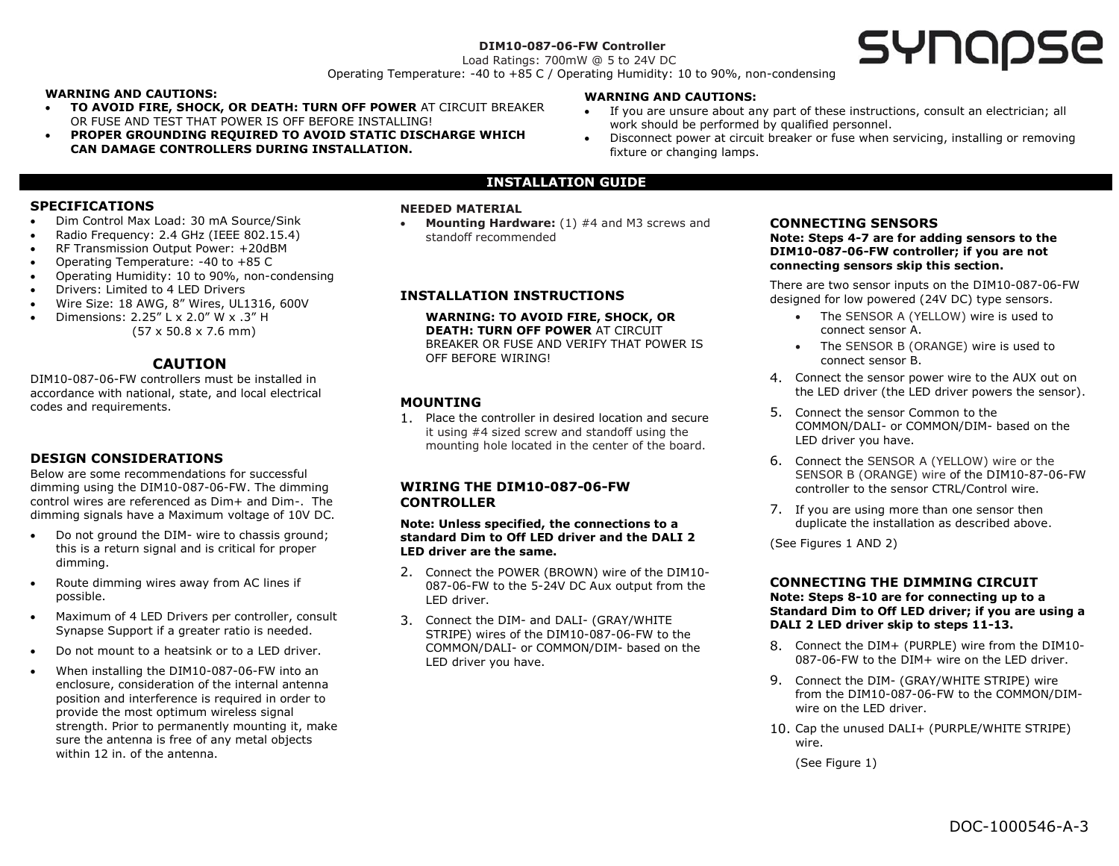#### **DIM10-087-06-FW Controller** Load Ratings: 700mW @ 5 to 24V DC

# **SYNQQSE**

Operating Temperature: -40 to +85 C / Operating Humidity: 10 to 90%, non-condensing

#### **WARNING AND CAUTIONS:**

- **TO AVOID FIRE, SHOCK, OR DEATH: TURN OFF POWER** AT CIRCUIT BREAKER OR FUSE AND TEST THAT POWER IS OFF BEFORE INSTALLING!
- **PROPER GROUNDING REQUIRED TO AVOID STATIC DISCHARGE WHICH CAN DAMAGE CONTROLLERS DURING INSTALLATION.**

#### **WARNING AND CAUTIONS:**

- If you are unsure about any part of these instructions, consult an electrician; all work should be performed by qualified personnel.
- Disconnect power at circuit breaker or fuse when servicing, installing or removing fixture or changing lamps.

# **INSTALLATION GUIDE**

#### **SPECIFICATIONS**

- Dim Control Max Load: 30 mA Source/Sink
- Radio Frequency: 2.4 GHz (IEEE 802.15.4)
- RF Transmission Output Power: +20dBM
- Operating Temperature: -40 to +85 C
- Operating Humidity: 10 to 90%, non-condensing
- Drivers: Limited to 4 LED Drivers
- Wire Size: 18 AWG, 8" Wires, UL1316, 600V
- Dimensions: 2.25" L x 2.0" W x .3" H (57 x 50.8 x 7.6 mm)

# **CAUTION**

DIM10-087-06-FW controllers must be installed in accordance with national, state, and local electrical codes and requirements.

# **DESIGN CONSIDERATIONS**

Below are some recommendations for successful dimming using the DIM10-087-06-FW. The dimming control wires are referenced as Dim+ and Dim-. The dimming signals have a Maximum voltage of 10V DC.

- Do not ground the DIM- wire to chassis ground; this is a return signal and is critical for proper dimming.
- Route dimming wires away from AC lines if possible.
- Maximum of 4 LED Drivers per controller, consult Synapse Support if a greater ratio is needed.
- Do not mount to a heatsink or to a LED driver.
- When installing the DIM10-087-06-FW into an enclosure, consideration of the internal antenna position and interference is required in order to provide the most optimum wireless signal strength. Prior to permanently mounting it, make sure the antenna is free of any metal objects within 12 in. of the antenna.

#### **NEEDED MATERIAL**

• **Mounting Hardware:** (1) #4 and M3 screws and standoff recommended

#### **INSTALLATION INSTRUCTIONS**

**WARNING: TO AVOID FIRE, SHOCK, OR DEATH: TURN OFF POWER** AT CIRCUIT BREAKER OR FUSE AND VERIFY THAT POWER IS OFF BEFORE WIRING!

# **MOUNTING**

1. Place the controller in desired location and secure it using #4 sized screw and standoff using the mounting hole located in the center of the board.

#### **WIRING THE DIM10-087-06-FW CONTROLLER**

**Note: Unless specified, the connections to a standard Dim to Off LED driver and the DALI 2 LED driver are the same.**

- 2. Connect the POWER (BROWN) wire of the DIM10- 087-06-FW to the 5-24V DC Aux output from the LED driver.
- 3. Connect the DIM- and DALI- (GRAY/WHITE STRIPE) wires of the DIM10-087-06-FW to the COMMON/DALI- or COMMON/DIM- based on the LED driver you have.

#### **CONNECTING SENSORS**

**Note: Steps 4-7 are for adding sensors to the DIM10-087-06-FW controller; if you are not connecting sensors skip this section.** 

There are two sensor inputs on the DIM10-087-06-FW designed for low powered (24V DC) type sensors.

- The SENSOR A (YELLOW) wire is used to connect sensor A.
- The SENSOR B (ORANGE) wire is used to connect sensor B.
- 4. Connect the sensor power wire to the AUX out on the LED driver (the LED driver powers the sensor).
- 5. Connect the sensor Common to the COMMON/DALI- or COMMON/DIM- based on the LED driver you have.
- 6. Connect the SENSOR A (YELLOW) wire or the SENSOR B (ORANGE) wire of the DIM10-87-06-FW controller to the sensor CTRL/Control wire.
- 7. If you are using more than one sensor then duplicate the installation as described above.

(See Figures 1 AND 2)

#### **CONNECTING THE DIMMING CIRCUIT Note: Steps 8-10 are for connecting up to a Standard Dim to Off LED driver; if you are using a DALI 2 LED driver skip to steps 11-13.**

- 8. Connect the DIM+ (PURPLE) wire from the DIM10- 087-06-FW to the DIM+ wire on the LED driver.
- 9. Connect the DIM- (GRAY/WHITE STRIPE) wire from the DIM10-087-06-FW to the COMMON/DIMwire on the LED driver.
- 10. Cap the unused DALI+ (PURPLE/WHITE STRIPE) wire.

(See Figure 1)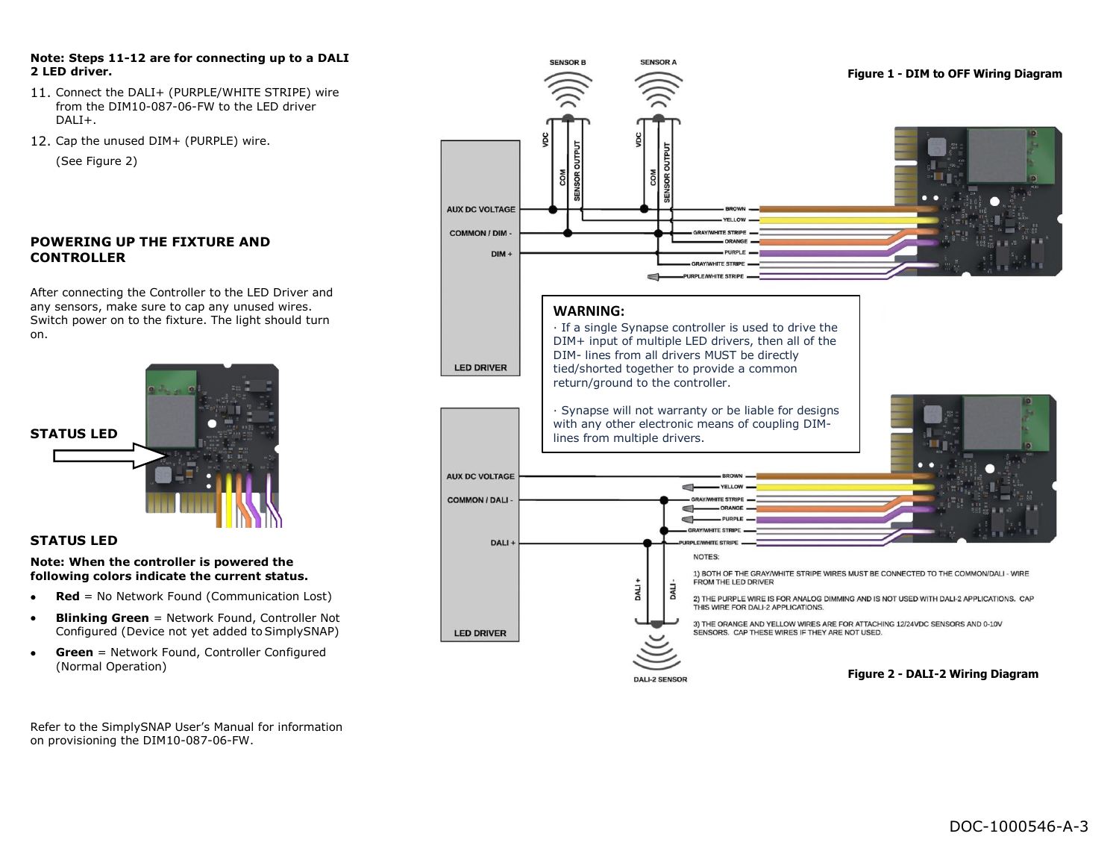#### **Note: Steps 11-12 are for connecting up to a DALI 2 LED driver.**

- 11. Connect the DALI+ (PURPLE/WHITE STRIPE) wire from the DIM10-087-06-FW to the LED driver  $DAI +$
- 12. Cap the unused DIM+ (PURPLE) wire.

(See Figure 2)

# **POWERING UP THE FIXTURE AND CONTROLLER**

After connecting the Controller to the LED Driver and any sensors, make sure to cap any unused wires. Switch power on to the fixture. The light should turn on.



# **STATUS LED**

#### **Note: When the controller is powered the following colors indicate the current status.**

- **Red** = No Network Found (Communication Lost)
- **Blinking Green** = Network Found, Controller Not Configured (Device not yet added to SimplySNAP)
- **Green** = Network Found, Controller Configured (Normal Operation)

Refer to the SimplySNAP User's Manual for information on provisioning the DIM10-087-06-FW.